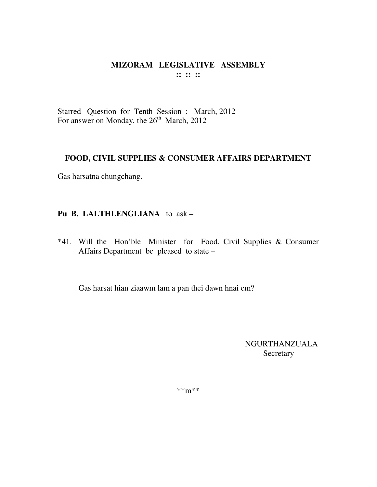Starred Question for Tenth Session : March, 2012 For answer on Monday, the 26<sup>th</sup> March, 2012

# **FOOD, CIVIL SUPPLIES & CONSUMER AFFAIRS DEPARTMENT**

Gas harsatna chungchang.

# **Pu B. LALTHLENGLIANA** to ask –

\*41. Will the Hon'ble Minister for Food, Civil Supplies & Consumer Affairs Department be pleased to state –

Gas harsat hian ziaawm lam a pan thei dawn hnai em?

NGURTHANZUALA Secretary

\*\*m\*\*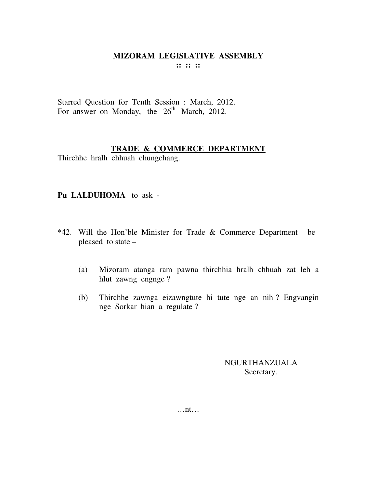Starred Question for Tenth Session : March, 2012. For answer on Monday, the  $26<sup>th</sup>$  March, 2012.

#### **TRADE & COMMERCE DEPARTMENT**

Thirchhe hralh chhuah chungchang.

#### **Pu LALDUHOMA** to ask -

- \*42. Will the Hon'ble Minister for Trade & Commerce Department be pleased to state –
	- (a) Mizoram atanga ram pawna thirchhia hralh chhuah zat leh a hlut zawng engnge ?
	- (b) Thirchhe zawnga eizawngtute hi tute nge an nih ? Engvangin nge Sorkar hian a regulate ?

NGURTHANZUALA Secretary.

…nt…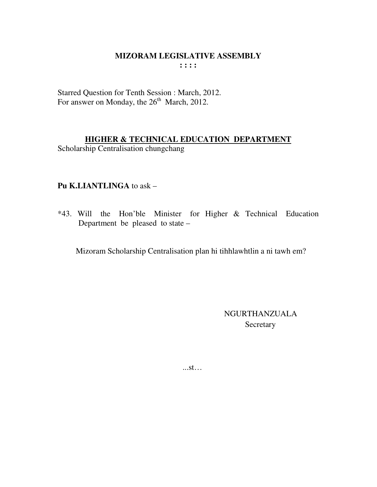Starred Question for Tenth Session : March, 2012. For answer on Monday, the 26<sup>th</sup> March, 2012.

# **HIGHER & TECHNICAL EDUCATION DEPARTMENT**

Scholarship Centralisation chungchang

# Pu K.LIANTLINGA to ask -

\*43. Will the Hon'ble Minister for Higher & Technical Education Department be pleased to state –

Mizoram Scholarship Centralisation plan hi tihhlawhtlin a ni tawh em?

**NGURTHANZUALA** Secretary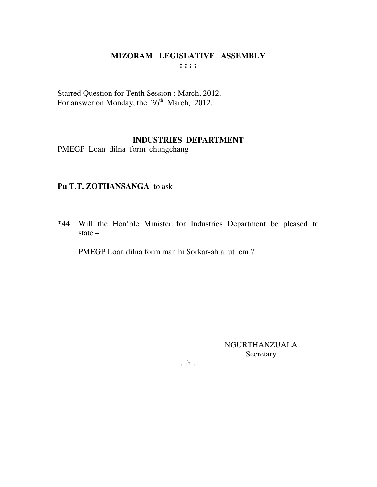Starred Question for Tenth Session : March, 2012.<br>For answer on Monday, the 26<sup>th</sup> March, 2012.

# **INDUSTRIES DEPARTMENT**

PMEGP Loan dilna form chungchang

#### Pu T.T. ZOTHANSANGA to ask -

\*44. Will the Hon'ble Minister for Industries Department be pleased to state  $-$ 

PMEGP Loan dilna form man hi Sorkar-ah a lut em?

NGURTHANZUALA Secretary

 $\dots$   $h...$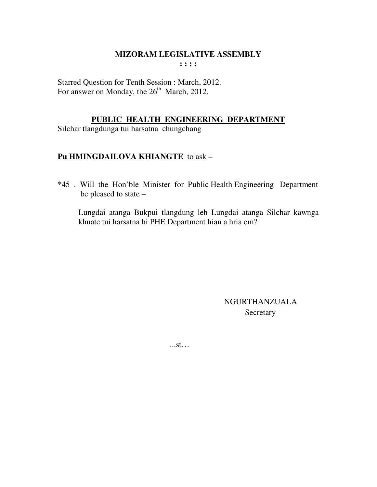Starred Question for Tenth Session : March, 2012. For answer on Monday, the  $26<sup>th</sup>$  March, 2012.

#### **PUBLIC HEALTH ENGINEERING DEPARTMENT**

Silchar tlangdunga tui harsatna chungchang

# **Pu HMINGDAILOVA KHIANGTE** to ask –

\*45 . Will the Hon'ble Minister for Public Health Engineering Department be pleased to state –

 Lungdai atanga Bukpui tlangdung leh Lungdai atanga Silchar kawnga khuate tui harsatna hi PHE Department hian a hria em?

> NGURTHANZUALA **Secretary**

...st…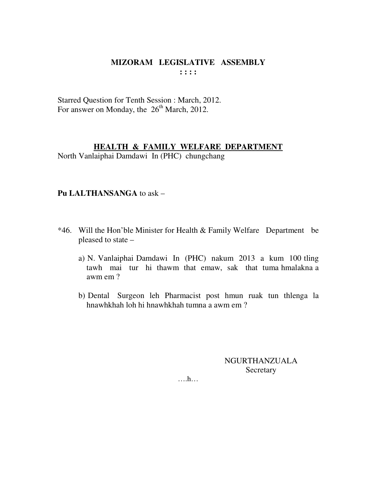Starred Question for Tenth Session : March, 2012. For answer on Monday, the  $26<sup>th</sup>$  March, 2012.

# **HEALTH & FAMILY WELFARE DEPARTMENT**

North Vanlaiphai Damdawi In (PHC) chungchang

#### **Pu LALTHANSANGA** to ask –

- \*46. Will the Hon'ble Minister for Health & Family Welfare Department be pleased to state –
	- a) N. Vanlaiphai Damdawi In (PHC) nakum 2013 a kum 100 tling tawh mai tur hi thawm that emaw, sak that tuma hmalakna a awm em ?
	- b) Dental Surgeon leh Pharmacist post hmun ruak tun thlenga la hnawhkhah loh hi hnawhkhah tumna a awm em ?

NGURTHANZUALA **Secretary** 

….h…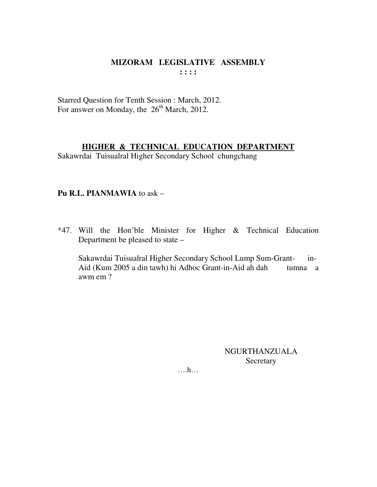#### MIZORAM LEGISLATIVE ASSEMBLY  $\mathbf{1}$ :  $\mathbf{1}$

Starred Question for Tenth Session : March, 2012. For answer on Monday, the 26<sup>th</sup> March, 2012.

#### HIGHER & TECHNICAL EDUCATION DEPARTMENT

Sakawrdai Tuisualral Higher Secondary School chungchang

# Pu R.L. PIANMAWIA to ask -

\*47. Will the Hon'ble Minister for Higher & Technical Education Department be pleased to state –

Sakawrdai Tuisualral Higher Secondary School Lump Sum-Grant $in$ -Aid (Kum 2005 a din tawh) hi Adhoc Grant-in-Aid ah dah tumna a awm em?

> NGURTHANZUALA Secretary

 $\dots$ ...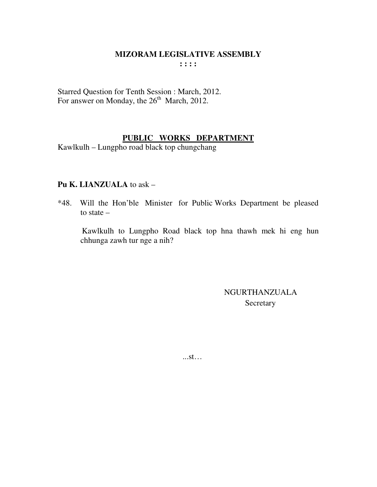Starred Question for Tenth Session : March, 2012. For answer on Monday, the  $26<sup>th</sup>$  March, 2012.

# **PUBLIC WORKS DEPARTMENT**

Kawlkulh – Lungpho road black top chungchang

# **Pu K. LIANZUALA** to ask –

\*48. Will the Hon'ble Minister for Public Works Department be pleased to state –

 Kawlkulh to Lungpho Road black top hna thawh mek hi eng hun chhunga zawh tur nge a nih?

> NGURTHANZUALA **Secretary**

...st…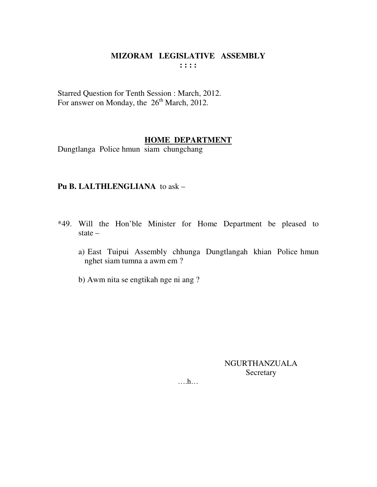Starred Question for Tenth Session : March, 2012. For answer on Monday, the 26<sup>th</sup> March, 2012.

#### **HOME DEPARTMENT**

Dungtlanga Police hmun siam chungchang

#### Pu B. LALTHLENGLIANA to ask -

- \*49. Will the Hon'ble Minister for Home Department be pleased to state  $$ 
	- a) East Tuipui Assembly chhunga Dungtlangah khian Police hmun nghet siam tumna a awm em ?
	- b) Awm nita se engtikah nge ni ang?

**NGURTHANZUALA** Secretary

 $\dots h\dots$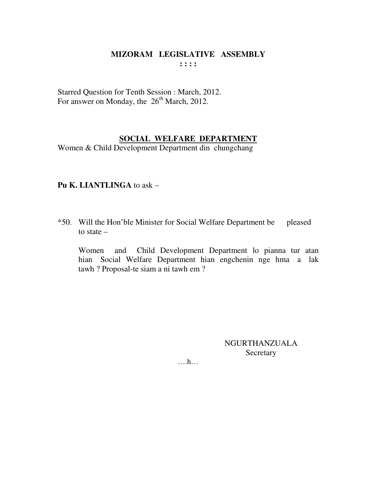Starred Question for Tenth Session : March, 2012. For answer on Monday, the  $26<sup>th</sup>$  March, 2012.

# SOCIAL WELFARE DEPARTMENT

Women & Child Development Department din chungchang

# Pu K. LIANTLINGA to ask  $-$

\*50. Will the Hon'ble Minister for Social Welfare Department be pleased to state  $-$ 

Child Development Department lo pianna tur atan Women and hian Social Welfare Department hian engchenin nge hma a lak tawh ? Proposal-te siam a ni tawh em ?

> **NGURTHANZUALA** Secretary

 $\dots h\dots$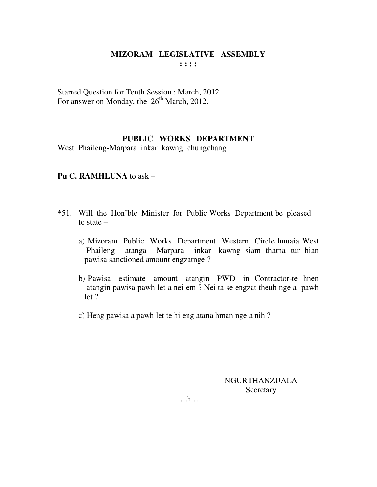Starred Question for Tenth Session : March, 2012. For answer on Monday, the  $26<sup>th</sup>$  March, 2012.

# **PUBLIC WORKS DEPARTMENT**

West Phaileng-Marpara inkar kawng chungchang

# **Pu C. RAMHLUNA** to ask –

- \*51. Will the Hon'ble Minister for Public Works Department be pleased to state –
	- a) Mizoram Public Works Department Western Circle hnuaia West Phaileng atanga Marpara inkar kawng siam thatna tur hian pawisa sanctioned amount engzatnge ?
	- b) Pawisa estimate amount atangin PWD in Contractor-te hnen atangin pawisa pawh let a nei em ? Nei ta se engzat theuh nge a pawh let ?
	- c) Heng pawisa a pawh let te hi eng atana hman nge a nih ?

NGURTHANZUALA Secretary

….h…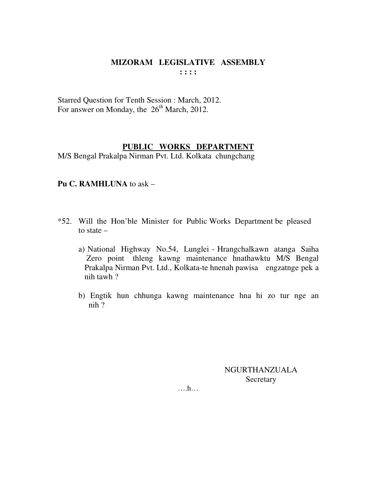Starred Question for Tenth Session : March, 2012. For answer on Monday, the 26<sup>th</sup> March, 2012.

#### **PUBLIC WORKS DEPARTMENT**

M/S Bengal Prakalpa Nirman Pvt. Ltd. Kolkata chungchang

# **Pu C. RAMHLUNA** to ask –

- \*52. Will the Hon'ble Minister for Public Works Department be pleased to state –
	- a) National Highway No.54, Lunglei Hrangchalkawn atanga Saiha Zero point thleng kawng maintenance hnathawktu M/S Bengal Prakalpa Nirman Pvt. Ltd., Kolkata-te hnenah pawisa engzatnge pek a nih tawh ?
	- b) Engtik hun chhunga kawng maintenance hna hi zo tur nge an nih ?

NGURTHANZUALA Secretary

….h…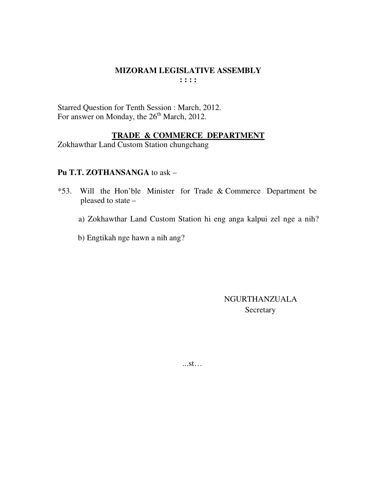Starred Question for Tenth Session : March, 2012. For answer on Monday, the 26<sup>th</sup> March, 2012.

#### TRADE & COMMERCE DEPARTMENT

Zokhawthar Land Custom Station chungchang

# Pu T.T. ZOTHANSANGA to ask -

- \*53. Will the Hon'ble Minister for Trade & Commerce Department be pleased to state –
	- a) Zokhawthar Land Custom Station hi eng anga kalpui zel nge a nih?
	- b) Engtikah nge hawn a nih ang?

**NGURTHANZUALA** Secretary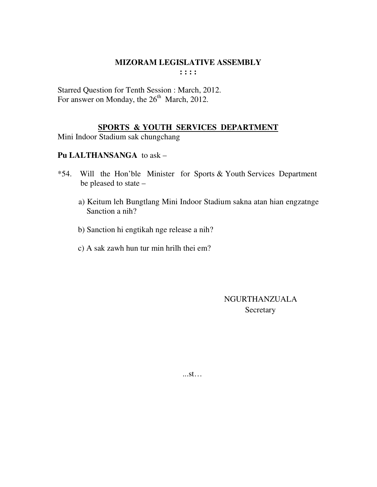Starred Question for Tenth Session : March, 2012. For answer on Monday, the 26<sup>th</sup> March, 2012.

# **SPORTS & YOUTH SERVICES DEPARTMENT**

Mini Indoor Stadium sak chungchang

# Pu LALTHANSANGA to ask -

- $*54.$ Will the Hon'ble Minister for Sports & Youth Services Department be pleased to state
	- a) Keitum leh Bungtlang Mini Indoor Stadium sakna atan hian engzatnge Sanction a nih?
	- b) Sanction hi engtikah nge release a nih?
	- c) A sak zawh hun tur min hrilh thei em?

**NGURTHANZUALA** Secretary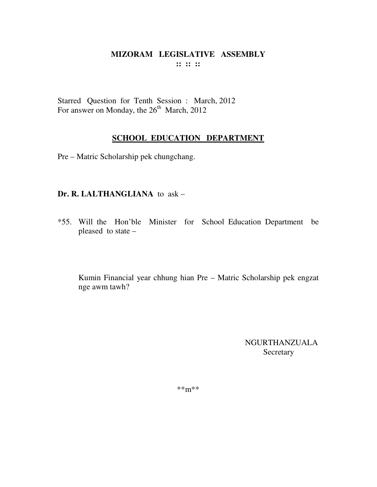Starred Question for Tenth Session : March, 2012 For answer on Monday, the 26<sup>th</sup> March, 2012

# **SCHOOL EDUCATION DEPARTMENT**

Pre – Matric Scholarship pek chungchang.

# **Dr. R. LALTHANGLIANA** to ask –

\*55. Will the Hon'ble Minister for School Education Department be pleased to state –

Kumin Financial year chhung hian Pre – Matric Scholarship pek engzat nge awm tawh?

> NGURTHANZUALA **Secretary**

\*\*m\*\*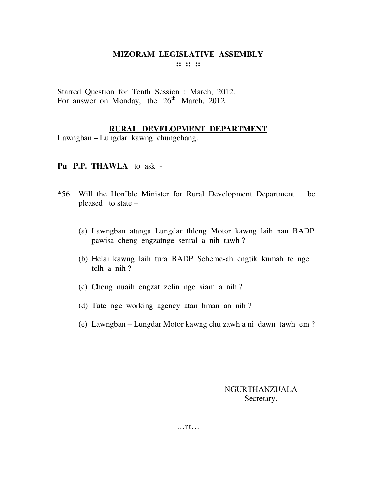Starred Question for Tenth Session : March, 2012. For answer on Monday, the  $26<sup>th</sup>$  March, 2012.

#### **RURAL DEVELOPMENT DEPARTMENT**

Lawngban – Lungdar kawng chungchang.

#### **Pu P.P. THAWLA** to ask -

- \*56. Will the Hon'ble Minister for Rural Development Department be pleased to state –
	- (a) Lawngban atanga Lungdar thleng Motor kawng laih nan BADP pawisa cheng engzatnge senral a nih tawh ?
	- (b) Helai kawng laih tura BADP Scheme-ah engtik kumah te nge telh a nih ?
	- (c) Cheng nuaih engzat zelin nge siam a nih ?
	- (d) Tute nge working agency atan hman an nih ?
	- (e) Lawngban Lungdar Motor kawng chu zawh a ni dawn tawh em ?

NGURTHANZUALA Secretary.

…nt…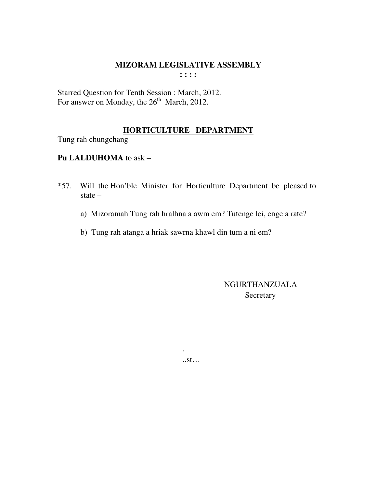Starred Question for Tenth Session : March, 2012. For answer on Monday, the  $26<sup>th</sup>$  March, 2012.

.

# **HORTICULTURE DEPARTMENT**

Tung rah chungchang

# **Pu LALDUHOMA** to ask –

- \*57. Will the Hon'ble Minister for Horticulture Department be pleased to state –
	- a) Mizoramah Tung rah hralhna a awm em? Tutenge lei, enge a rate?
	- b) Tung rah atanga a hriak sawrna khawl din tum a ni em?

 NGURTHANZUALA Secretary

..st…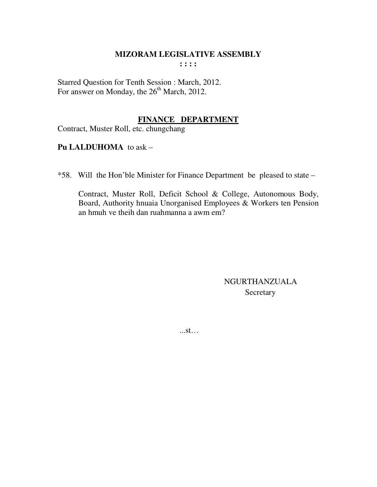# **MIZORAM LEGISLATIVE ASSEMBLY**

 $: : : :$ 

Starred Question for Tenth Session : March, 2012. For answer on Monday, the 26<sup>th</sup> March, 2012.

# FINANCE DEPARTMENT

Contract, Muster Roll, etc. chungchang

# **Pu LALDUHOMA** to ask -

\*58. Will the Hon'ble Minister for Finance Department be pleased to state –

Contract, Muster Roll, Deficit School & College, Autonomous Body, Board, Authority hnuaia Unorganised Employees & Workers ten Pension an hmuh ve theih dan ruahmanna a awm em?

> **NGURTHANZUALA** Secretary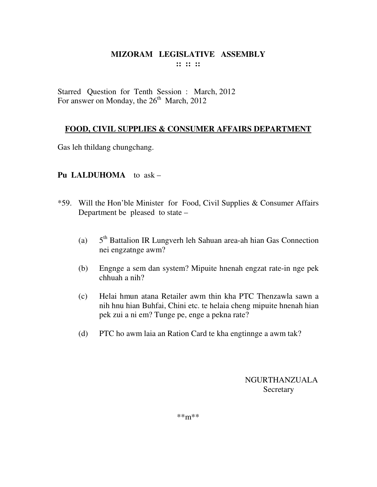Starred Question for Tenth Session : March, 2012 For answer on Monday, the  $26<sup>th</sup>$  March, 2012

# **FOOD, CIVIL SUPPLIES & CONSUMER AFFAIRS DEPARTMENT**

Gas leh thildang chungchang.

# **Pu LALDUHOMA** to ask –

- \*59. Will the Hon'ble Minister for Food, Civil Supplies & Consumer Affairs Department be pleased to state –
	- (a)  $5<sup>th</sup>$  Battalion IR Lungverh leh Sahuan area-ah hian Gas Connection nei engzatnge awm?
	- (b) Engnge a sem dan system? Mipuite hnenah engzat rate-in nge pek chhuah a nih?
	- (c) Helai hmun atana Retailer awm thin kha PTC Thenzawla sawn a nih hnu hian Buhfai, Chini etc. te helaia cheng mipuite hnenah hian pek zui a ni em? Tunge pe, enge a pekna rate?
	- (d) PTC ho awm laia an Ration Card te kha engtinnge a awm tak?

NGURTHANZUALA **Secretary**